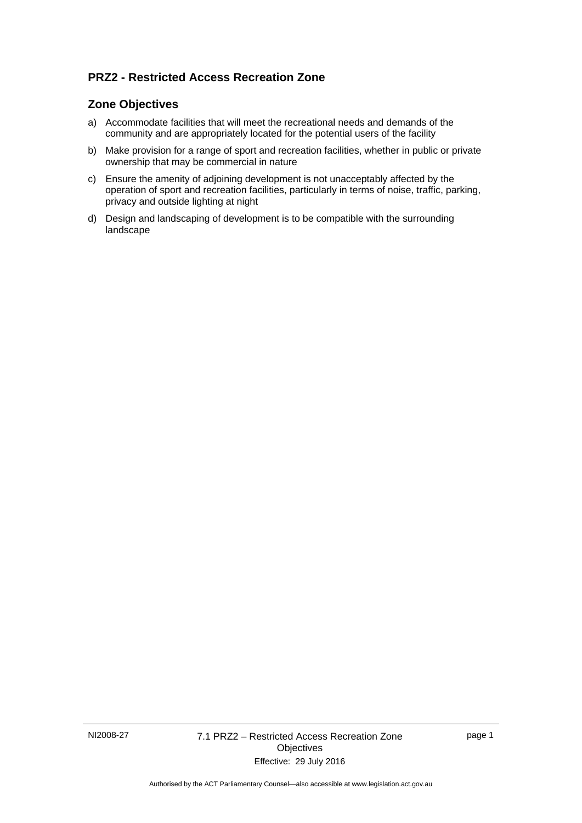# **PRZ2 - Restricted Access Recreation Zone**

### **Zone Objectives**

- a) Accommodate facilities that will meet the recreational needs and demands of the community and are appropriately located for the potential users of the facility
- b) Make provision for a range of sport and recreation facilities, whether in public or private ownership that may be commercial in nature
- c) Ensure the amenity of adjoining development is not unacceptably affected by the operation of sport and recreation facilities, particularly in terms of noise, traffic, parking, privacy and outside lighting at night
- d) Design and landscaping of development is to be compatible with the surrounding landscape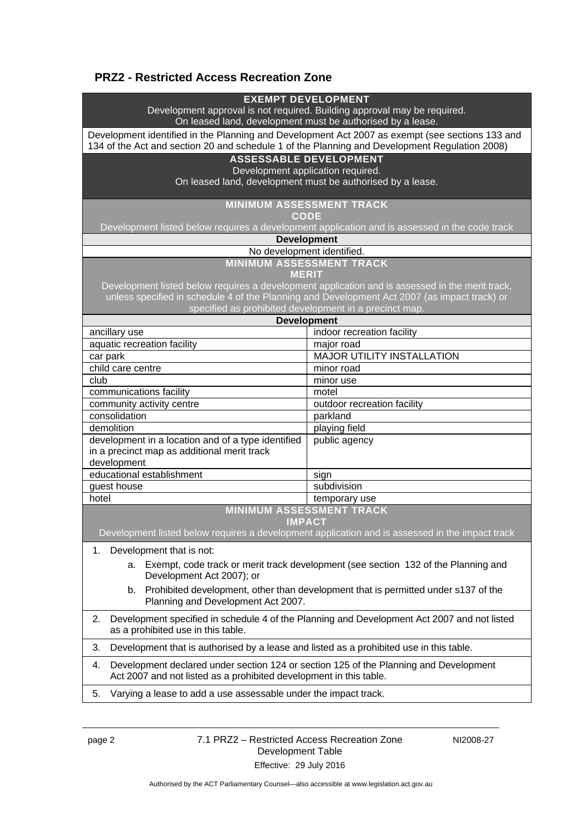## **PRZ2 - Restricted Access Recreation Zone**

#### **EXEMPT DEVELOPMENT**

Development approval is not required. Building approval may be required.

On leased land, development must be authorised by a lease.

Development identified in the Planning and Development Act 2007 as exempt (see sections 133 and 134 of the Act and section 20 and schedule 1 of the Planning and Development Regulation 2008)

### **ASSESSABLE DEVELOPMENT**

Development application required.

On leased land, development must be authorised by a lease.

**MINIMUM ASSESSMENT TRACK** 

**CODE** 

Development listed below requires a development application and is assessed in the code track

#### **Development**

#### No development identified.

**MINIMUM ASSESSMENT TRACK** 

**MERIT** 

Development listed below requires a development application and is assessed in the merit track, unless specified in schedule 4 of the Planning and Development Act 2007 (as impact track) or specified as prohibited development in a precinct map.

**Development**

| ancillary use                                      | indoor recreation facility        |
|----------------------------------------------------|-----------------------------------|
| aquatic recreation facility                        | major road                        |
| car park                                           | <b>MAJOR UTILITY INSTALLATION</b> |
| child care centre                                  | minor road                        |
| club                                               | minor use                         |
| communications facility                            | motel                             |
| community activity centre                          | outdoor recreation facility       |
| consolidation                                      | parkland                          |
| demolition                                         | playing field                     |
| development in a location and of a type identified | public agency                     |
| in a precinct map as additional merit track        |                                   |
| development                                        |                                   |
| educational establishment                          | sign                              |
| guest house                                        | subdivision                       |
| hotel                                              | temporary use                     |
| <b>MINIMUM ASSESSMENT TRACK</b>                    |                                   |

**IMPACT** 

Development listed below requires a development application and is assessed in the impact track

1. Development that is not:

a. Exempt, code track or merit track development (see section 132 of the Planning and Development Act 2007); or

- b. Prohibited development, other than development that is permitted under s137 of the Planning and Development Act 2007.
- 2. Development specified in schedule 4 of the Planning and Development Act 2007 and not listed as a prohibited use in this table.

3. Development that is authorised by a lease and listed as a prohibited use in this table.

- 4. Development declared under section 124 or section 125 of the Planning and Development Act 2007 and not listed as a prohibited development in this table.
- 5. Varying a lease to add a use assessable under the impact track.

page 2 7.1 PRZ2 – Restricted Access Recreation Zone Development Table Effective: 29 July 2016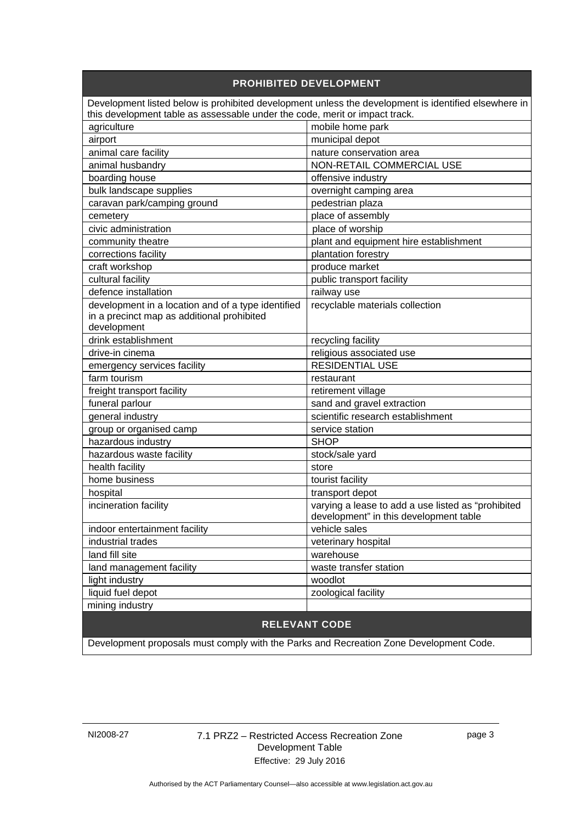| <b>PROHIBITED DEVELOPMENT</b>                                                                        |                                                    |
|------------------------------------------------------------------------------------------------------|----------------------------------------------------|
| Development listed below is prohibited development unless the development is identified elsewhere in |                                                    |
| this development table as assessable under the code, merit or impact track.                          |                                                    |
| agriculture                                                                                          | mobile home park                                   |
| airport                                                                                              | municipal depot                                    |
| animal care facility                                                                                 | nature conservation area                           |
| animal husbandry                                                                                     | NON-RETAIL COMMERCIAL USE                          |
| boarding house                                                                                       | offensive industry                                 |
| bulk landscape supplies                                                                              | overnight camping area                             |
| caravan park/camping ground                                                                          | pedestrian plaza                                   |
| cemetery                                                                                             | place of assembly                                  |
| civic administration                                                                                 | place of worship                                   |
| community theatre                                                                                    | plant and equipment hire establishment             |
| corrections facility                                                                                 | plantation forestry                                |
| craft workshop                                                                                       | produce market                                     |
| cultural facility                                                                                    | public transport facility                          |
| defence installation                                                                                 | railway use                                        |
| development in a location and of a type identified                                                   | recyclable materials collection                    |
| in a precinct map as additional prohibited                                                           |                                                    |
| development                                                                                          |                                                    |
| drink establishment                                                                                  | recycling facility                                 |
| drive-in cinema                                                                                      | religious associated use                           |
| emergency services facility                                                                          | <b>RESIDENTIAL USE</b>                             |
| farm tourism                                                                                         | restaurant                                         |
| freight transport facility                                                                           | retirement village                                 |
| funeral parlour                                                                                      | sand and gravel extraction                         |
| general industry                                                                                     | scientific research establishment                  |
| group or organised camp                                                                              | service station                                    |
| hazardous industry                                                                                   | <b>SHOP</b>                                        |
| hazardous waste facility                                                                             | stock/sale yard                                    |
| health facility                                                                                      | store                                              |
| home business                                                                                        | tourist facility                                   |
| hospital                                                                                             | transport depot                                    |
| incineration facility                                                                                | varying a lease to add a use listed as "prohibited |
|                                                                                                      | development" in this development table             |
| indoor entertainment facility                                                                        | vehicle sales                                      |
| industrial trades                                                                                    | veterinary hospital                                |
| land fill site                                                                                       | warehouse                                          |
| land management facility                                                                             | waste transfer station                             |
| light industry                                                                                       | woodlot                                            |
| liquid fuel depot                                                                                    | zoological facility                                |
| mining industry                                                                                      |                                                    |
| <b>RELEVANT CODE</b>                                                                                 |                                                    |

Development proposals must comply with the Parks and Recreation Zone Development Code.